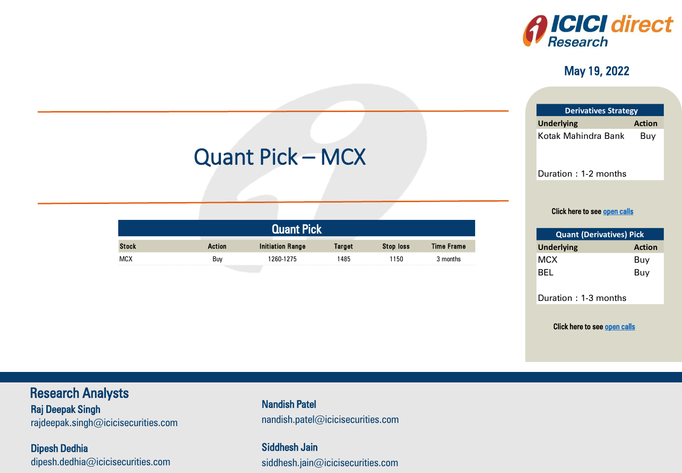

#### May 19, 2022

| <b>Derivatives Strategy</b> |  |  |  |  |  |
|-----------------------------|--|--|--|--|--|
| <b>Action</b>               |  |  |  |  |  |
| Buy                         |  |  |  |  |  |
|                             |  |  |  |  |  |
|                             |  |  |  |  |  |

Duration : 1-2 months

#### Click here to see <u>open calls</u>

| <b>Quant (Derivatives) Pick</b> |               |  |  |  |  |
|---------------------------------|---------------|--|--|--|--|
| <b>Underlying</b>               | <b>Action</b> |  |  |  |  |
| MCX                             | Buy           |  |  |  |  |
| BEL                             | Buy           |  |  |  |  |

Duration : 1-3 months

Click here to see <u>open calls</u><br>————————————————————

ICICI Securities

# Quant Pick – MCX

| Quant Pick   |        |                         |        |           |            |  |  |
|--------------|--------|-------------------------|--------|-----------|------------|--|--|
| <b>Stock</b> | Action | <b>Initiation Range</b> | Target | Stop loss | Time Frame |  |  |
| MCX          | Buv    | 260-1275                | 485    | 1150      | months     |  |  |

#### Research Analysts

Raj Deepak Singh Raj Deepak Singh rajdeepak.omgn@icicioocdniico.com rajdeepak.singh $@$ icicisecurities.com

Dipesh Dedhia dipesh.dedhia@icicisecurities.com nandish.patel@icicisecurities.com Nandish Patel

> Siddhesh Jain siddhesh.jain@icicisecurities.com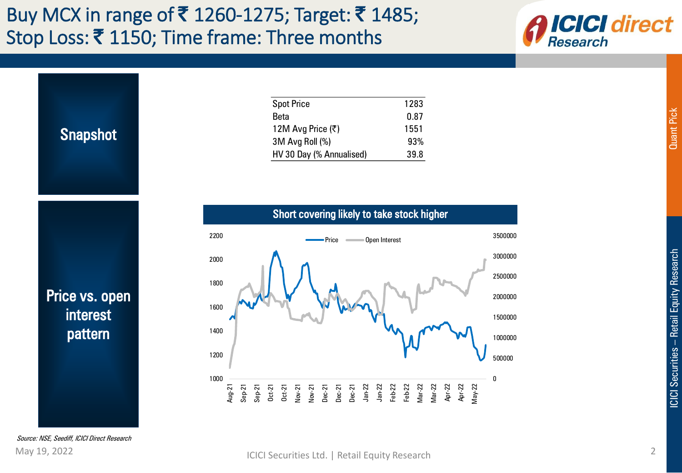## Buy MCX in range of ₹ 1260-1275; Target: ₹ 1485; Stop Loss: ₹1150; Time frame: Three months





<span id="page-1-0"></span>Source: NSE, Seediff, ICICI Direct Research

0

Mar-22 Apr-22 Apr-22 May-22 500000

1000000

1500000

2000000

2500000

3000000

3500000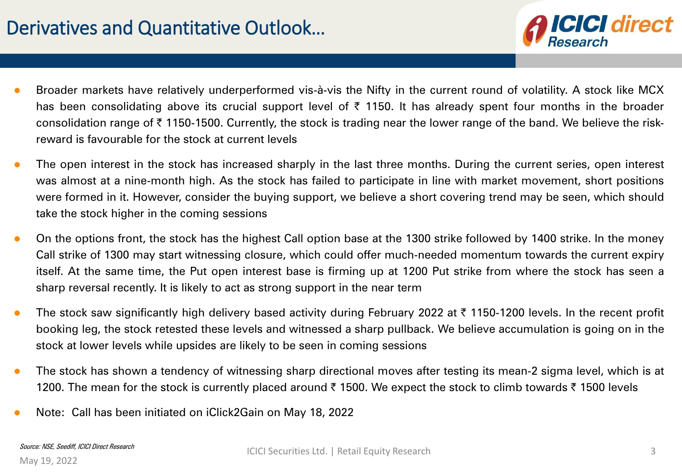

- **Broader markets have relatively underperformed vis-à-vis the Nifty in the current round of volatility. A stock like MCX** has been consolidating above its crucial support level of  $\bar{\tau}$  1150. It has already spent four months in the broader consolidation range of ₹1150-1500. Currently, the stock is trading near the lower range of the band. We believe the riskreward is favourable for the stock at current levels
- The open interest in the stock has increased sharply in the last three months. During the current series, open interest was almost at a nine-month high. As the stock has failed to participate in line with market movement, short positions were formed in it. However, consider the buying support, we believe a short covering trend may be seen, which should take the stock higher in the coming sessions
- On the options front, the stock has the highest Call option base at the 1300 strike followed by 1400 strike. In the money Call strike of 1300 may start witnessing closure, which could offer much-needed momentum towards the current expiry itself. At the same time, the Put open interest base is firming up at 1200 Put strike from where the stock has seen a sharp reversal recently. It is likely to act as strong support in the near term
- The stock saw significantly high delivery based activity during February 2022 at  $\bar{\tau}$  1150-1200 levels. In the recent profit booking leg, the stock retested these levels and witnessed a sharp pullback. We believe accumulation is going on in the stock at lower levels while upsides are likely to be seen in coming sessions
- **•** The stock has shown a tendency of witnessing sharp directional moves after testing its mean-2 sigma level, which is at 1200. The mean for the stock is currently placed around ₹ 1500. We expect the stock to climb towards ₹ 1500 levels
- Note: Call has been initiated on iClick2Gain on May 18, 2022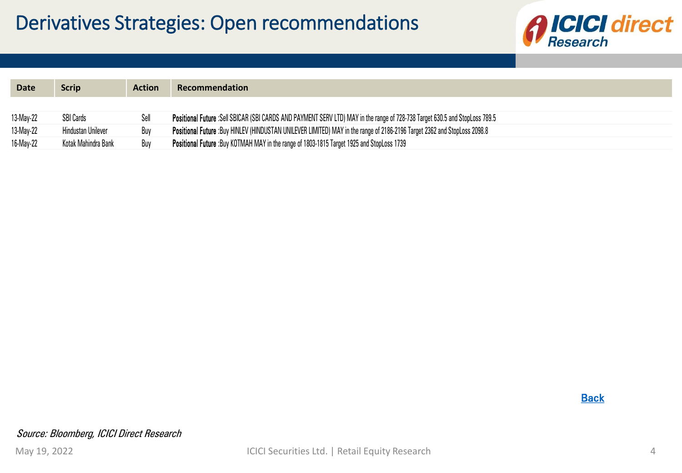

| <b>Date</b> | Scrip               | <b>Action</b> | <b>Recommendation</b>                                                                                                       |
|-------------|---------------------|---------------|-----------------------------------------------------------------------------------------------------------------------------|
|             |                     |               |                                                                                                                             |
|             |                     |               |                                                                                                                             |
| 13-May-22   | <b>SBI Cards</b>    | Sell          | Positional Future :Sell SBICAR (SBI CARDS AND PAYMENT SERV LTD) MAY in the range of 728-738 Target 630.5 and StopLoss 789.5 |
| 13-May-22   | Hindustan Unilever  | Buy           | Positional Future :Buy HINLEV (HINDUSTAN UNILEVER LIMITED) MAY in the range of 2186-2196 Target 2362 and StopLoss 2098.8    |
| 16-May-22   | Kotak Mahindra Bank | Buy           | <b>Positional Future:</b> Buy KOTMAH MAY in the range of 1803-1815 Target 1925 and StopLoss 1739                            |

**Back**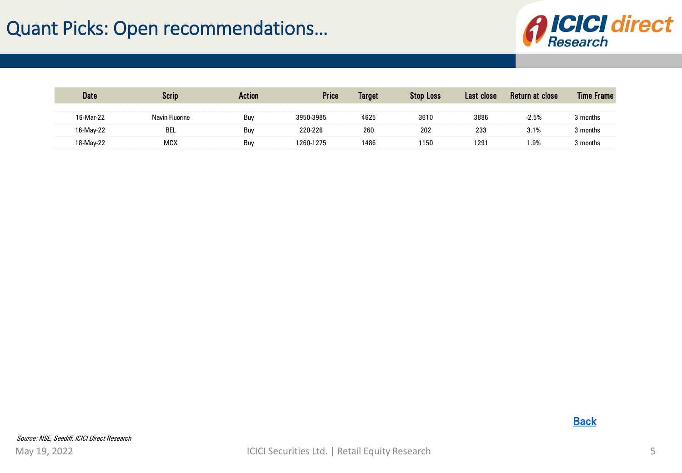## Quant Picks: Open recommendations…



<span id="page-4-0"></span>

|     |     | Price | Target | Stop Loss | Las<br>close | close |  |
|-----|-----|-------|--------|-----------|--------------|-------|--|
|     | Buy |       | 1671   | 3610      | 3886         |       |  |
| DEL | Buy |       | 260    | 202       | سد           |       |  |
| MC) | Buy |       | 1486   | 150       | $29^{\circ}$ | ∣.9%  |  |

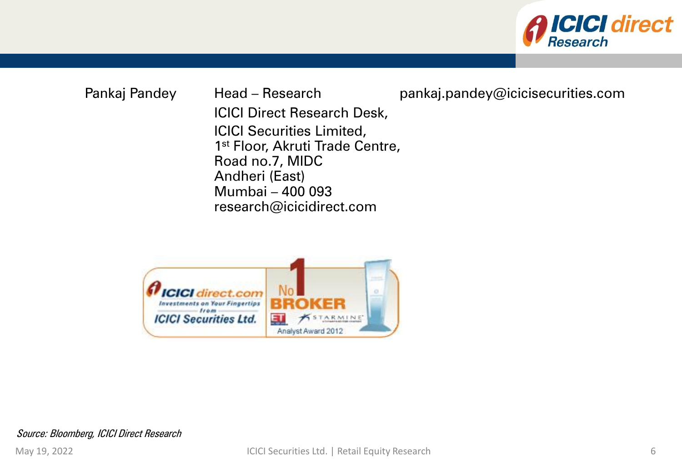

Pankaj Pandey Head – Research pankaj.pandey@icicisecurities.com ICICI Direct Research Desk, ICICI Securities Limited, 1<sup>st</sup> Floor, Akruti Trade Centre, Road no.7, MIDC Andheri (East) Mumbai – 400 093 research@icicidirect.com



Source: Bloomberg, ICICI Direct Research